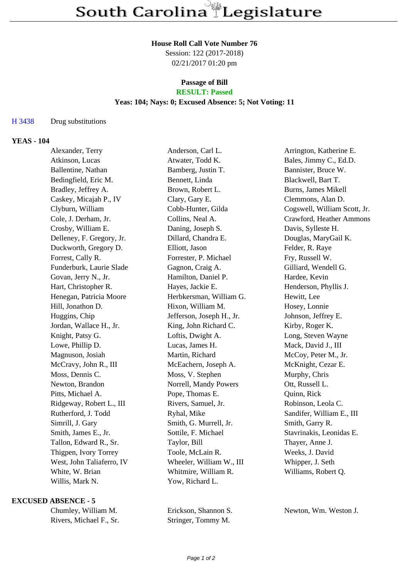#### **House Roll Call Vote Number 76**

Session: 122 (2017-2018) 02/21/2017 01:20 pm

#### **Passage of Bill RESULT: Passed**

## **Yeas: 104; Nays: 0; Excused Absence: 5; Not Voting: 11**

## H 3438 Drug substitutions

## **YEAS - 104**

| Alexander, Terry          | Anderson, Carl L.         | Arrington, Katherine E.      |
|---------------------------|---------------------------|------------------------------|
| Atkinson, Lucas           | Atwater, Todd K.          | Bales, Jimmy C., Ed.D.       |
| Ballentine, Nathan        | Bamberg, Justin T.        | Bannister, Bruce W.          |
| Bedingfield, Eric M.      | Bennett, Linda            | Blackwell, Bart T.           |
| Bradley, Jeffrey A.       | Brown, Robert L.          | <b>Burns, James Mikell</b>   |
| Caskey, Micajah P., IV    | Clary, Gary E.            | Clemmons, Alan D.            |
| Clyburn, William          | Cobb-Hunter, Gilda        | Cogswell, William Scott, Jr. |
| Cole, J. Derham, Jr.      | Collins, Neal A.          | Crawford, Heather Ammons     |
| Crosby, William E.        | Daning, Joseph S.         | Davis, Sylleste H.           |
| Delleney, F. Gregory, Jr. | Dillard, Chandra E.       | Douglas, MaryGail K.         |
| Duckworth, Gregory D.     | Elliott, Jason            | Felder, R. Raye              |
| Forrest, Cally R.         | Forrester, P. Michael     | Fry, Russell W.              |
| Funderburk, Laurie Slade  | Gagnon, Craig A.          | Gilliard, Wendell G.         |
| Govan, Jerry N., Jr.      | Hamilton, Daniel P.       | Hardee, Kevin                |
| Hart, Christopher R.      | Hayes, Jackie E.          | Henderson, Phyllis J.        |
| Henegan, Patricia Moore   | Herbkersman, William G.   | Hewitt, Lee                  |
| Hill, Jonathon D.         | Hixon, William M.         | Hosey, Lonnie                |
| Huggins, Chip             | Jefferson, Joseph H., Jr. | Johnson, Jeffrey E.          |
| Jordan, Wallace H., Jr.   | King, John Richard C.     | Kirby, Roger K.              |
| Knight, Patsy G.          | Loftis, Dwight A.         | Long, Steven Wayne           |
| Lowe, Phillip D.          | Lucas, James H.           | Mack, David J., III          |
| Magnuson, Josiah          | Martin, Richard           | McCoy, Peter M., Jr.         |
| McCravy, John R., III     | McEachern, Joseph A.      | McKnight, Cezar E.           |
| Moss, Dennis C.           | Moss, V. Stephen          | Murphy, Chris                |
| Newton, Brandon           | Norrell, Mandy Powers     | Ott, Russell L.              |
| Pitts, Michael A.         | Pope, Thomas E.           | Quinn, Rick                  |
| Ridgeway, Robert L., III  | Rivers, Samuel, Jr.       | Robinson, Leola C.           |
| Rutherford, J. Todd       | Ryhal, Mike               | Sandifer, William E., III    |
| Simrill, J. Gary          | Smith, G. Murrell, Jr.    | Smith, Garry R.              |
| Smith, James E., Jr.      | Sottile, F. Michael       | Stavrinakis, Leonidas E.     |
| Tallon, Edward R., Sr.    | Taylor, Bill              | Thayer, Anne J.              |
| Thigpen, Ivory Torrey     | Toole, McLain R.          | Weeks, J. David              |
| West, John Taliaferro, IV | Wheeler, William W., III  | Whipper, J. Seth             |
| White, W. Brian           | Whitmire, William R.      | Williams, Robert Q.          |
| Willis, Mark N.           | Yow, Richard L.           |                              |
|                           |                           |                              |

#### **EXCUSED ABSENCE - 5**

| Chumley, William M.     |  |  |
|-------------------------|--|--|
| Rivers, Michael F., Sr. |  |  |

Stringer, Tommy M.

Erickson, Shannon S. Newton, Wm. Weston J.